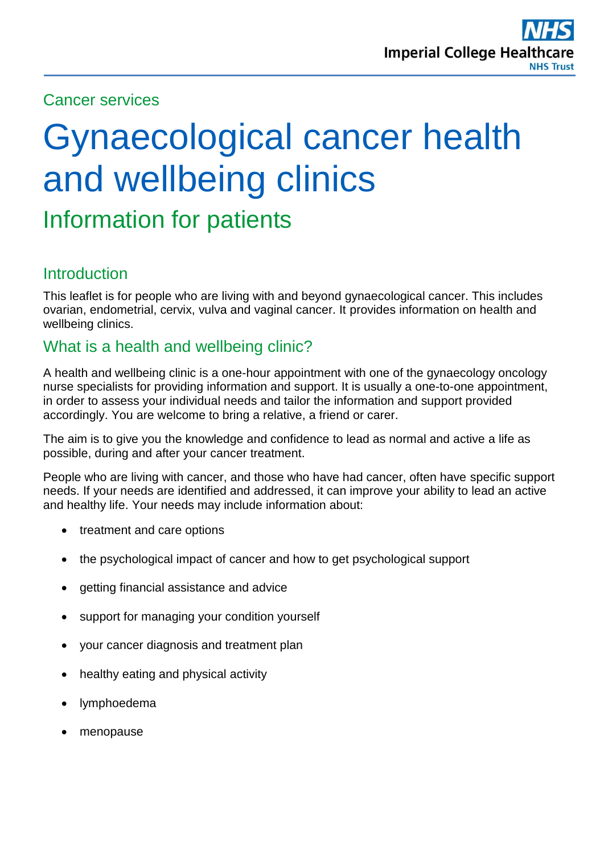#### Cancer services

# Gynaecological cancer health and wellbeing clinics

Information for patients

# **Introduction**

This leaflet is for people who are living with and beyond gynaecological cancer. This includes ovarian, endometrial, cervix, vulva and vaginal cancer. It provides information on health and wellbeing clinics.

# What is a health and wellbeing clinic?

A health and wellbeing clinic is a one-hour appointment with one of the gynaecology oncology nurse specialists for providing information and support. It is usually a one-to-one appointment, in order to assess your individual needs and tailor the information and support provided accordingly. You are welcome to bring a relative, a friend or carer.

The aim is to give you the knowledge and confidence to lead as normal and active a life as possible, during and after your cancer treatment.

People who are living with cancer, and those who have had cancer, often have specific support needs. If your needs are identified and addressed, it can improve your ability to lead an active and healthy life. Your needs may include information about:

- treatment and care options
- the psychological impact of cancer and how to get psychological support
- getting financial assistance and advice
- support for managing your condition yourself
- your cancer diagnosis and treatment plan
- healthy eating and physical activity
- lymphoedema
- menopause